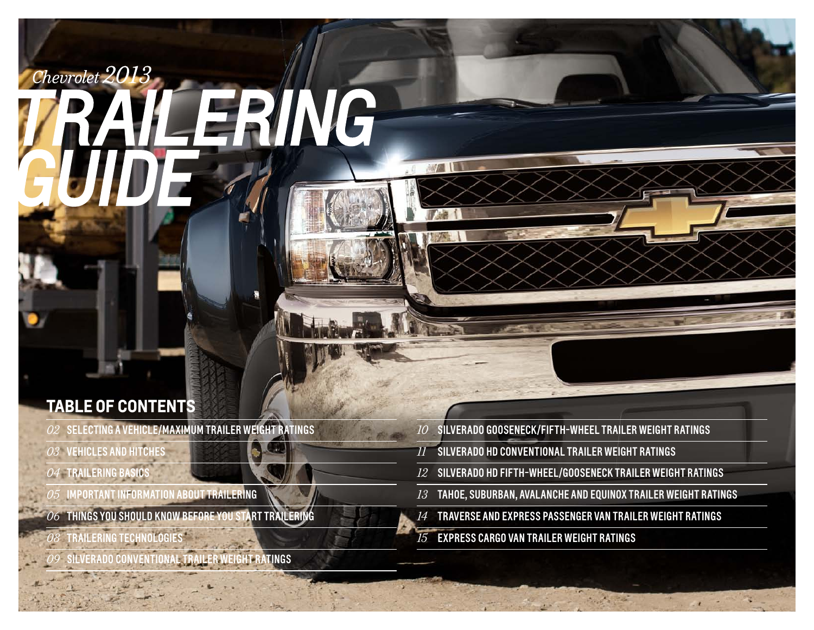# Chevrolet

# RING

## **Table of contents**

- SELECTING A VEHICLE/Maximum Trailer Weight Ratings
- VEHICLES AND HITCHES
- TRAILERING BASICS
- $\emph{OS}$  IMPORTANT INFORMATION ABOUT TRAILERING
- THINGS YOU SHOULD KNOW BEFORE YOU start TRAILERing
- $\overline{\partial \mathscr{S}}$  Trailering Technologies
- <u>.</u><br>VERADO CONVENTIONAL TRAILER WEIGHT RATINGS
- SILVERADO Gooseneck/Fifth-Wheel TRAILER WEIGHT RATINGS
- SILVERADO HD conventional TRAILER WEIGHT RATINGS
- SILVERADO HD Fifth-wheel/gooseneck TRAILER WEIGHT RATINGS
- TAHOE, SUBURBAN, AVALANCHE AND EQUINOX TRAILER WEIGHT RATINGS

- TRAVERSE AND EXPRESS passenger van TRAILER WEIGHT RATINGS
- Express Cargo Van Trailer Weight Ratings

**NYAI**II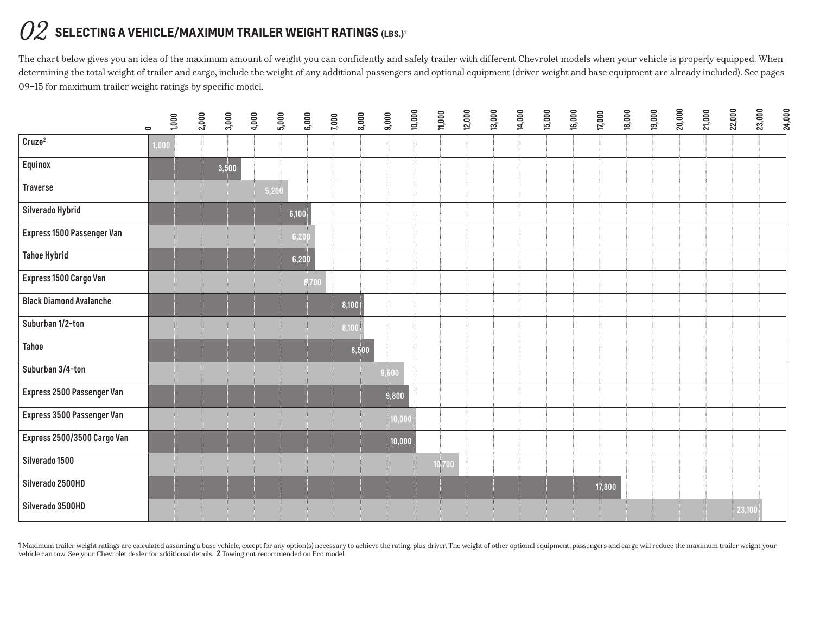# $O2\!\;$  SELECTING A VEHICLE/MAXIMUM TRAILER WEIGHT RATINGS (LBS.)<sup>1</sup>

The chart below gives you an idea of the maximum amount of weight you can confidently and safely trailer with different Chevrolet models when your vehicle is properly equipped. When determining the total weight of trailer and cargo, include the weight of any additional passengers and optional equipment (driver weight and base equipment are already included). See pages 09–15 for maximum trailer weight ratings by specific model.

|                                | 1,000<br>$\circ$ | 2,000 | 3,000 | 4,000<br>5,000 | 6,000 | 7,000 | 9,000<br>8,000 | 10,000 | 11,000 | 12,000 | 13,000 | 14,000 | 15,000<br>16,000 | 17,000 | 18,000 | 19,000 | 20,000 | 21,000 | 22,000 | 23,000<br>24,000 |
|--------------------------------|------------------|-------|-------|----------------|-------|-------|----------------|--------|--------|--------|--------|--------|------------------|--------|--------|--------|--------|--------|--------|------------------|
| Cruze <sup>2</sup>             | 1,000            |       |       |                |       |       |                |        |        |        |        |        |                  |        |        |        |        |        |        |                  |
| <b>Equinox</b>                 |                  |       | 3,500 |                |       |       |                |        |        |        |        |        |                  |        |        |        |        |        |        |                  |
| <b>Traverse</b>                |                  |       |       | 5,200          |       |       |                |        |        |        |        |        |                  |        |        |        |        |        |        |                  |
| Silverado Hybrid               |                  |       |       |                | 6,100 |       |                |        |        |        |        |        |                  |        |        |        |        |        |        |                  |
| Express 1500 Passenger Van     |                  |       |       |                | 6,200 |       |                |        |        |        |        |        |                  |        |        |        |        |        |        |                  |
| <b>Tahoe Hybrid</b>            |                  |       |       |                | 6,200 |       |                |        |        |        |        |        |                  |        |        |        |        |        |        |                  |
| Express 1500 Cargo Van         |                  |       |       |                | 6,700 |       |                |        |        |        |        |        |                  |        |        |        |        |        |        |                  |
| <b>Black Diamond Avalanche</b> |                  |       |       |                |       | 8,100 |                |        |        |        |        |        |                  |        |        |        |        |        |        |                  |
| Suburban 1/2-ton               |                  |       |       |                |       | 8,100 |                |        |        |        |        |        |                  |        |        |        |        |        |        |                  |
| <b>Tahoe</b>                   |                  |       |       |                |       |       | 8,500          |        |        |        |        |        |                  |        |        |        |        |        |        |                  |
| Suburban 3/4-ton               |                  |       |       |                |       |       | 9,600          |        |        |        |        |        |                  |        |        |        |        |        |        |                  |
| Express 2500 Passenger Van     |                  |       |       |                |       |       | 9,800          |        |        |        |        |        |                  |        |        |        |        |        |        |                  |
| Express 3500 Passenger Van     |                  |       |       |                |       |       |                | 10,000 |        |        |        |        |                  |        |        |        |        |        |        |                  |
| Express 2500/3500 Cargo Van    |                  |       |       |                |       |       |                | 10,000 |        |        |        |        |                  |        |        |        |        |        |        |                  |
| Silverado 1500                 |                  |       |       |                |       |       |                |        | 10,700 |        |        |        |                  |        |        |        |        |        |        |                  |
| Silverado 2500HD               |                  |       |       |                |       |       |                |        |        |        |        |        |                  | 17,800 |        |        |        |        |        |                  |
| Silverado 3500HD               |                  |       |       |                |       |       |                |        |        |        |        |        |                  |        |        |        |        |        | 23,100 |                  |

I Maximum trailer weight ratings are calculated assuming a base vehicle, except for any option(s) necessary to achieve the rating, plus driver. The weight of other optional equipment, passengers and cargo will reduce the m vehicle can tow. See your Chevrolet dealer for additional details. 2 Towing not recommended on Eco model.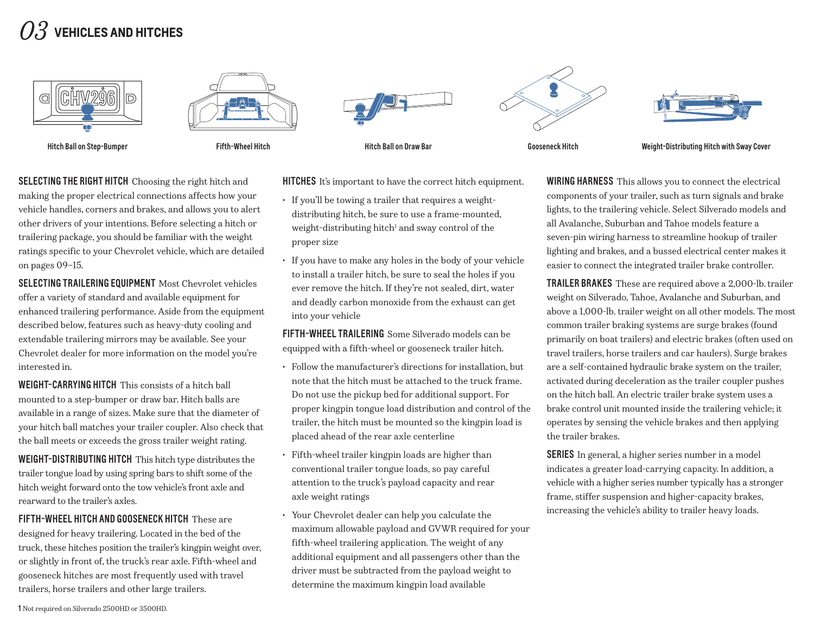# *03* **Vehicles and hitches**











Hitch Ball on Step-Bumper The Hitch Hitch Hitch Hitch Hitch Ball on Draw Bar Gooseneck Hitch Hitch Weight-Distributing Hitch with Sway Cover

SELECTING THE RIGHT HITCH Choosing the right hitch and making the proper electrical connections affects how your vehicle handles, corners and brakes, and allows you to alert other drivers of your intentions. Before selecting a hitch or trailering package, you should be familiar with the weight ratings specific to your Chevrolet vehicle, which are detailed on pages 09–15.

SELECTING TRAILERING EQUIPMENT Most Chevrolet vehicles offer a variety of standard and available equipment for enhanced trailering performance. Aside from the equipment described below, features such as heavy-duty cooling and extendable trailering mirrors may be available. See your Chevrolet dealer for more information on the model you're interested in.

WEIGHT-CARRYING HITCH This consists of a hitch ball mounted to a step-bumper or draw bar. Hitch balls are available in a range of sizes. Make sure that the diameter of your hitch ball matches your trailer coupler. Also check that the ball meets or exceeds the gross trailer weight rating.

WEIGHT-DISTRIBUTING HITCH This hitch type distributes the trailer tongue load by using spring bars to shift some of the hitch weight forward onto the tow vehicle's front axle and rearward to the trailer's axles.

FIFTH-WHEEL HITCH AND GOOSENECK HITCH These are designed for heavy trailering. Located in the bed of the truck, these hitches position the trailer's kingpin weight over, or slightly in front of, the truck's rear axle. Fifth-wheel and gooseneck hitches are most frequently used with travel trailers, horse trailers and other large trailers.

HITCHES It's important to have the correct hitch equipment.

- If you'll be towing a trailer that requires a weightdistributing hitch, be sure to use a frame-mounted, weight-distributing hitch<sup>1</sup> and sway control of the proper size
- • If you have to make any holes in the body of your vehicle to install a trailer hitch, be sure to seal the holes if you ever remove the hitch. If they're not sealed, dirt, water and deadly carbon monoxide from the exhaust can get into your vehicle

fiFTH-WHEEL TRAILERING Some Silverado models can be equipped with a fifth-wheel or gooseneck trailer hitch.

- • Follow the manufacturer's directions for installation, but note that the hitch must be attached to the truck frame. Do not use the pickup bed for additional support. For proper kingpin tongue load distribution and control of the trailer, the hitch must be mounted so the kingpin load is placed ahead of the rear axle centerline
- Fifth-wheel trailer kingpin loads are higher than conventional trailer tongue loads, so pay careful attention to the truck's payload capacity and rear axle weight ratings
- • Your Chevrolet dealer can help you calculate the maximum allowable payload and GVWR required for your fifth-wheel trailering application. The weight of any additional equipment and all passengers other than the driver must be subtracted from the payload weight to determine the maximum kingpin load available

WIRING HARNESS This allows you to connect the electrical components of your trailer, such as turn signals and brake lights, to the trailering vehicle. Select Silverado models and all Avalanche, Suburban and Tahoe models feature a seven-pin wiring harness to streamline hookup of trailer lighting and brakes, and a bussed electrical center makes it easier to connect the integrated trailer brake controller.

TRAILER BRAKES These are required above a 2,000-lb. trailer weight on Silverado, Tahoe, Avalanche and Suburban, and above a 1,000-lb. trailer weight on all other models. The most common trailer braking systems are surge brakes (found primarily on boat trailers) and electric brakes (often used on travel trailers, horse trailers and car haulers). Surge brakes are a self-contained hydraulic brake system on the trailer, activated during deceleration as the trailer coupler pushes on the hitch ball. An electric trailer brake system uses a brake control unit mounted inside the trailering vehicle; it operates by sensing the vehicle brakes and then applying the trailer brakes.

SERIES In general, a higher series number in a model indicates a greater load-carrying capacity. In addition, a vehicle with a higher series number typically has a stronger frame, stiffer suspension and higher-capacity brakes, increasing the vehicle's ability to trailer heavy loads.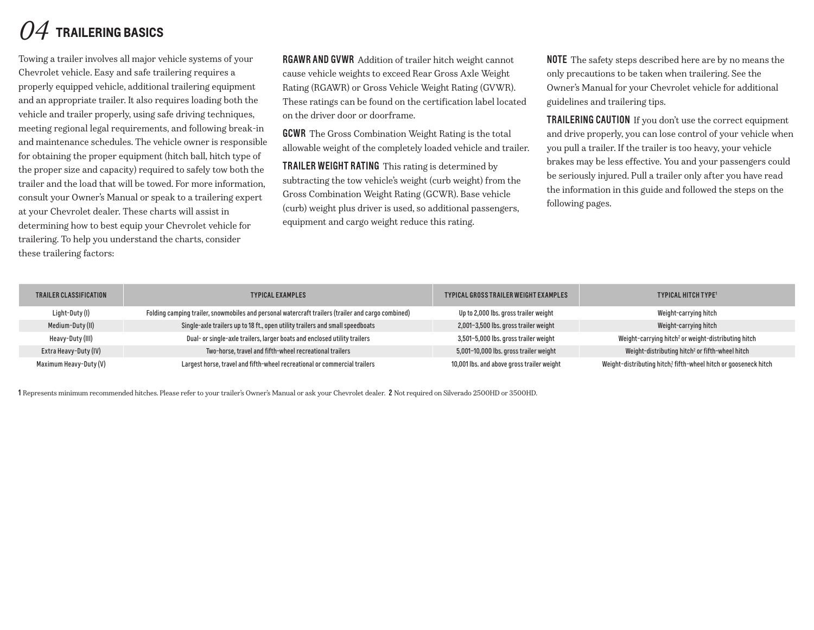# *04* **trailering basics**

Towing a trailer involves all major vehicle systems of your Chevrolet vehicle. Easy and safe trailering requires a properly equipped vehicle, additional trailering equipment and an appropriate trailer. It also requires loading both the vehicle and trailer properly, using safe driving techniques, meeting regional legal requirements, and following break-in and maintenance schedules. The vehicle owner is responsible for obtaining the proper equipment (hitch ball, hitch type of the proper size and capacity) required to safely tow both the trailer and the load that will be towed. For more information, consult your Owner's Manual or speak to a trailering expert at your Chevrolet dealer. These charts will assist in determining how to best equip your Chevrolet vehicle for trailering. To help you understand the charts, consider these trailering factors:

RGAWR AND GVWR Addition of trailer hitch weight cannot cause vehicle weights to exceed Rear Gross Axle Weight Rating (RGAWR) or Gross Vehicle Weight Rating (GVWR). These ratings can be found on the certification label located on the driver door or doorframe.

**GCWR** The Gross Combination Weight Rating is the total allowable weight of the completely loaded vehicle and trailer.

TRAILER WEIGHT RATING This rating is determined by subtracting the tow vehicle's weight (curb weight) from the Gross Combination Weight Rating (GCWR). Base vehicle (curb) weight plus driver is used, so additional passengers, equipment and cargo weight reduce this rating.

NOTE The safety steps described here are by no means the only precautions to be taken when trailering. See the Owner's Manual for your Chevrolet vehicle for additional guidelines and trailering tips.

TRAILERING CAUTION If you don't use the correct equipment and drive properly, you can lose control of your vehicle when you pull a trailer. If the trailer is too heavy, your vehicle brakes may be less effective. You and your passengers could be seriously injured. Pull a trailer only after you have read the information in this guide and followed the steps on the following pages.

| TRAILER CLASSIFICATION | <b>TYPICAL EXAMPLES</b>                                                                            | TYPICAL GROSS TRAILER WEIGHT EXAMPLES      | <b>TYPICAL HITCH TYPE<sup>1</sup></b>                           |
|------------------------|----------------------------------------------------------------------------------------------------|--------------------------------------------|-----------------------------------------------------------------|
| Light-Duty (I)         | Folding camping trailer, snowmobiles and personal watercraft trailers (trailer and cargo combined) | Up to 2,000 lbs. gross trailer weight      | Weight-carrying hitch                                           |
| Medium-Duty (II)       | Single-axle trailers up to 18 ft., open utility trailers and small speedboats                      | 2,001-3,500 lbs. gross trailer weight      | Weight-carrying hitch                                           |
| Heavy-Duty (III)       | Dual- or single-axle trailers, larger boats and enclosed utility trailers                          | 3,501-5,000 lbs. gross trailer weight      | Weight-carrying hitch <sup>2</sup> or weight-distributing hitch |
| Extra Heavy-Duty (IV)  | Two-horse, travel and fifth-wheel recreational trailers                                            | 5,001-10,000 lbs. gross trailer weight     | Weight-distributing hitch <sup>2</sup> or fifth-wheel hitch     |
| Maximum Heavy-Duty (V) | Largest horse, travel and fifth-wheel recreational or commercial trailers                          | 10,001 lbs. and above gross trailer weight | Weight-distributing hitch? fifth-wheel hitch or gooseneck hitch |

1 Represents minimum recommended hitches. Please refer to your trailer's Owner's Manual or ask your Chevrolet dealer. 2 Not required on Silverado 2500HD or 3500HD.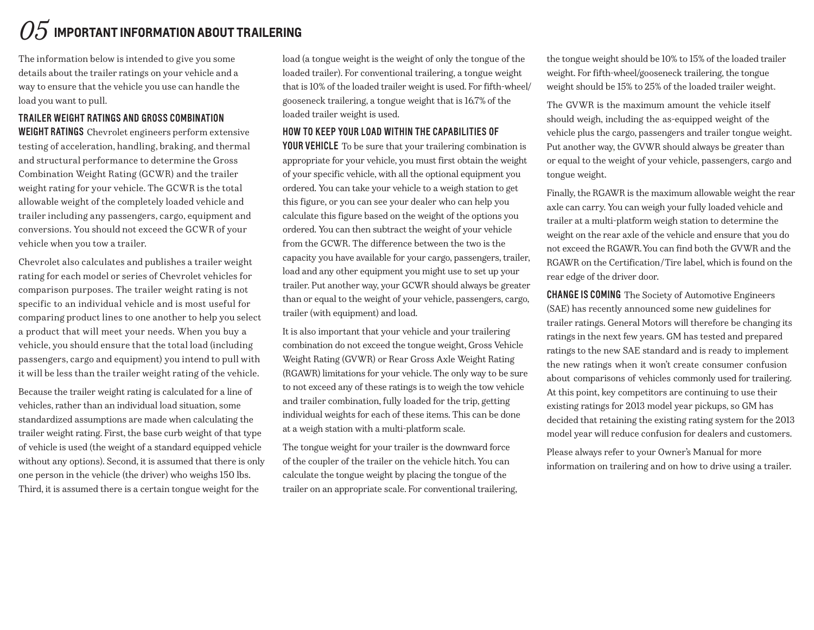# $\mathit{05}$  important information about Trailering

The information below is intended to give you some details about the trailer ratings on your vehicle and a way to ensure that the vehicle you use can handle the load you want to pull.

#### Trailer Weight Ratings and Gross Combination

WEIGHT RATINGS Chevrolet engineers perform extensive testing of acceleration, handling, braking, and thermal and structural performance to determine the Gross Combination Weight Rating (GCWR) and the trailer weight rating for your vehicle. The GCWR is the total allowable weight of the completely loaded vehicle and trailer including any passengers, cargo, equipment and conversions. You should not exceed the GCWR of your vehicle when you tow a trailer.

Chevrolet also calculates and publishes a trailer weight rating for each model or series of Chevrolet vehicles for comparison purposes. The trailer weight rating is not specific to an individual vehicle and is most useful for comparing product lines to one another to help you select a product that will meet your needs. When you buy a vehicle, you should ensure that the total load (including passengers, cargo and equipment) you intend to pull with it will be less than the trailer weight rating of the vehicle.

Because the trailer weight rating is calculated for a line of vehicles, rather than an individual load situation, some standardized assumptions are made when calculating the trailer weight rating. First, the base curb weight of that type of vehicle is used (the weight of a standard equipped vehicle without any options). Second, it is assumed that there is only one person in the vehicle (the driver) who weighs 150 lbs. Third, it is assumed there is a certain tongue weight for the

load (a tongue weight is the weight of only the tongue of the loaded trailer). For conventional trailering, a tongue weight that is 10% of the loaded trailer weight is used. For fifth-wheel/ gooseneck trailering, a tongue weight that is 16.7% of the loaded trailer weight is used.

#### How to Keep Your Load Within the Capabilities of

**YOUR VEHICLE** To be sure that your trailering combination is appropriate for your vehicle, you must first obtain the weight of your specific vehicle, with all the optional equipment you ordered. You can take your vehicle to a weigh station to get this figure, or you can see your dealer who can help you calculate this figure based on the weight of the options you ordered. You can then subtract the weight of your vehicle from the GCWR. The difference between the two is the capacity you have available for your cargo, passengers, trailer, load and any other equipment you might use to set up your trailer. Put another way, your GCWR should always be greater than or equal to the weight of your vehicle, passengers, cargo, trailer (with equipment) and load.

It is also important that your vehicle and your trailering combination do not exceed the tongue weight, Gross Vehicle Weight Rating (GVWR) or Rear Gross Axle Weight Rating (RGAWR) limitations for your vehicle. The only way to be sure to not exceed any of these ratings is to weigh the tow vehicle and trailer combination, fully loaded for the trip, getting individual weights for each of these items. This can be done at a weigh station with a multi-platform scale.

The tongue weight for your trailer is the downward force of the coupler of the trailer on the vehicle hitch. You can calculate the tongue weight by placing the tongue of the trailer on an appropriate scale. For conventional trailering,

the tongue weight should be 10% to 15% of the loaded trailer weight. For fifth-wheel/gooseneck trailering, the tongue weight should be 15% to 25% of the loaded trailer weight.

The GVWR is the maximum amount the vehicle itself should weigh, including the as-equipped weight of the vehicle plus the cargo, passengers and trailer tongue weight. Put another way, the GVWR should always be greater than or equal to the weight of your vehicle, passengers, cargo and tongue weight.

Finally, the RGAWR is the maximum allowable weight the rear axle can carry. You can weigh your fully loaded vehicle and trailer at a multi-platform weigh station to determine the weight on the rear axle of the vehicle and ensure that you do not exceed the RGAWR. You can find both the GVWR and the RGAWR on the Certification/Tire label, which is found on the rear edge of the driver door.

**CHANGE IS COMING** The Society of Automotive Engineers (SAE) has recently announced some new guidelines for trailer ratings. General Motors will therefore be changing its ratings in the next few years. GM has tested and prepared ratings to the new SAE standard and is ready to implement the new ratings when it won't create consumer confusion about comparisons of vehicles commonly used for trailering. At this point, key competitors are continuing to use their existing ratings for 2013 model year pickups, so GM has decided that retaining the existing rating system for the 2013 model year will reduce confusion for dealers and customers.

Please always refer to your Owner's Manual for more information on trailering and on how to drive using a trailer.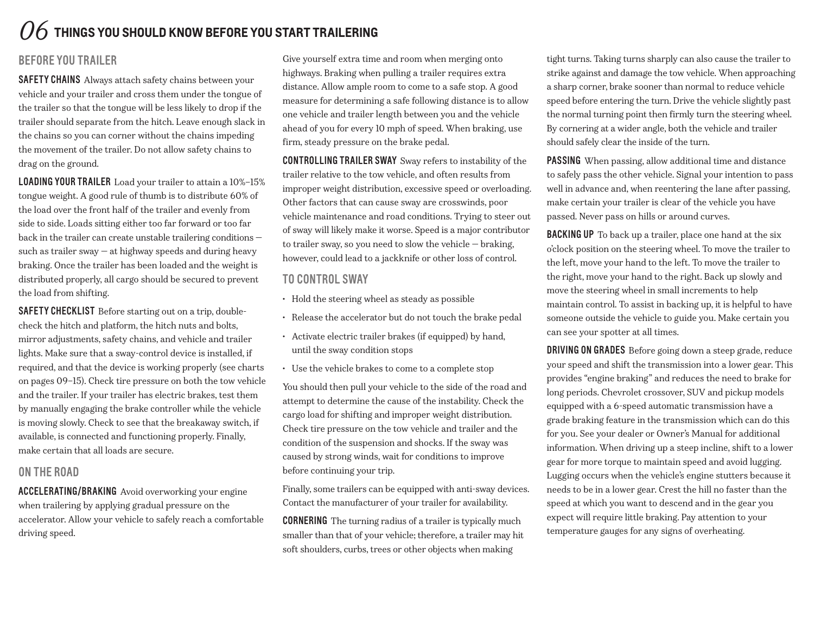# *06* **things you should know before you start trailering**

## BEfore You Trailer

SAFETY CHAINS Always attach safety chains between your vehicle and your trailer and cross them under the tongue of the trailer so that the tongue will be less likely to drop if the trailer should separate from the hitch. Leave enough slack in the chains so you can corner without the chains impeding the movement of the trailer. Do not allow safety chains to drag on the ground.

LOADING YOUR TRAILER Load your trailer to attain a 10%–15% tongue weight. A good rule of thumb is to distribute 60% of the load over the front half of the trailer and evenly from side to side. Loads sitting either too far forward or too far back in the trailer can create unstable trailering conditions such as trailer sway  $-$  at highway speeds and during heavy braking. Once the trailer has been loaded and the weight is distributed properly, all cargo should be secured to prevent the load from shifting.

SAFETY CHECKLIST Before starting out on a trip, doublecheck the hitch and platform, the hitch nuts and bolts, mirror adjustments, safety chains, and vehicle and trailer lights. Make sure that a sway-control device is installed, if required, and that the device is working properly (see charts on pages 09–15). Check tire pressure on both the tow vehicle and the trailer. If your trailer has electric brakes, test them by manually engaging the brake controller while the vehicle is moving slowly. Check to see that the breakaway switch, if available, is connected and functioning properly. Finally, make certain that all loads are secure.

## On the road

ACCELERATING/BRAKING Avoid overworking your engine when trailering by applying gradual pressure on the accelerator. Allow your vehicle to safely reach a comfortable driving speed.

Give yourself extra time and room when merging onto highways. Braking when pulling a trailer requires extra distance. Allow ample room to come to a safe stop. A good measure for determining a safe following distance is to allow one vehicle and trailer length between you and the vehicle ahead of you for every 10 mph of speed. When braking, use firm, steady pressure on the brake pedal.

CONTROLLING TRAILER SWAY Sway refers to instability of the trailer relative to the tow vehicle, and often results from improper weight distribution, excessive speed or overloading. Other factors that can cause sway are crosswinds, poor vehicle maintenance and road conditions. Trying to steer out of sway will likely make it worse. Speed is a major contributor to trailer sway, so you need to slow the vehicle — braking, however, could lead to a jackknife or other loss of control.

## TO CONTROL SWAY

- Hold the steering wheel as steady as possible
- • Release the accelerator but do not touch the brake pedal
- • Activate electric trailer brakes (if equipped) by hand, until the sway condition stops
- • Use the vehicle brakes to come to a complete stop

You should then pull your vehicle to the side of the road and attempt to determine the cause of the instability. Check the cargo load for shifting and improper weight distribution. Check tire pressure on the tow vehicle and trailer and the condition of the suspension and shocks. If the sway was caused by strong winds, wait for conditions to improve before continuing your trip.

Finally, some trailers can be equipped with anti-sway devices. Contact the manufacturer of your trailer for availability.

CORNERING The turning radius of a trailer is typically much smaller than that of your vehicle; therefore, a trailer may hit soft shoulders, curbs, trees or other objects when making

tight turns. Taking turns sharply can also cause the trailer to strike against and damage the tow vehicle. When approaching a sharp corner, brake sooner than normal to reduce vehicle speed before entering the turn. Drive the vehicle slightly past the normal turning point then firmly turn the steering wheel. By cornering at a wider angle, both the vehicle and trailer should safely clear the inside of the turn.

PASSING When passing, allow additional time and distance to safely pass the other vehicle. Signal your intention to pass well in advance and, when reentering the lane after passing, make certain your trailer is clear of the vehicle you have passed. Never pass on hills or around curves.

**BACKING UP** To back up a trailer, place one hand at the six o'clock position on the steering wheel. To move the trailer to the left, move your hand to the left. To move the trailer to the right, move your hand to the right. Back up slowly and move the steering wheel in small increments to help maintain control. To assist in backing up, it is helpful to have someone outside the vehicle to guide you. Make certain you can see your spotter at all times.

DRIVING ON GRADES Before going down a steep grade, reduce your speed and shift the transmission into a lower gear. This provides "engine braking" and reduces the need to brake for long periods. Chevrolet crossover, SUV and pickup models equipped with a 6-speed automatic transmission have a grade braking feature in the transmission which can do this for you. See your dealer or Owner's Manual for additional information. When driving up a steep incline, shift to a lower gear for more torque to maintain speed and avoid lugging. Lugging occurs when the vehicle's engine stutters because it needs to be in a lower gear. Crest the hill no faster than the speed at which you want to descend and in the gear you expect will require little braking. Pay attention to your temperature gauges for any signs of overheating.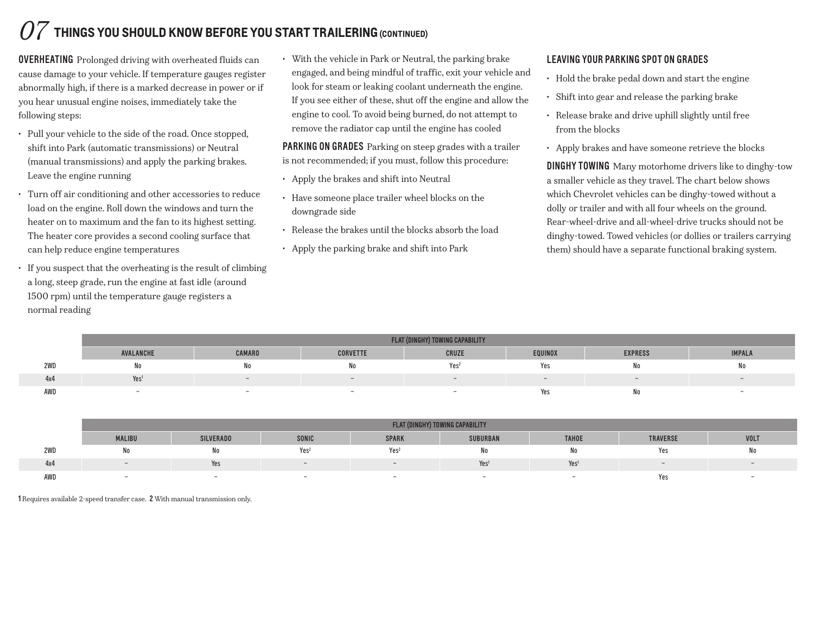# *07* **things you should know before you start trailering (continued)**

OVERHEATING Prolonged driving with overheated fluids can cause damage to your vehicle. If temperature gauges register abnormally high, if there is a marked decrease in power or if you hear unusual engine noises, immediately take the following steps:

- • Pull your vehicle to the side of the road. Once stopped, shift into Park (automatic transmissions) or Neutral (manual transmissions) and apply the parking brakes. Leave the engine running
- • Turn off air conditioning and other accessories to reduce load on the engine. Roll down the windows and turn the heater on to maximum and the fan to its highest setting. The heater core provides a second cooling surface that can help reduce engine temperatures
- • If you suspect that the overheating is the result of climbing a long, steep grade, run the engine at fast idle (around 1500 rpm) until the temperature gauge registers a normal reading

• With the vehicle in Park or Neutral, the parking brake engaged, and being mindful of traffic, exit your vehicle and look for steam or leaking coolant underneath the engine. If you see either of these, shut off the engine and allow the engine to cool. To avoid being burned, do not attempt to remove the radiator cap until the engine has cooled

PARKING ON GRADES Parking on steep grades with a trailer is not recommended; if you must, follow this procedure:

- • Apply the brakes and shift into Neutral
- • Have someone place trailer wheel blocks on the downgrade side
- • Release the brakes until the blocks absorb the load
- • Apply the parking brake and shift into Park

## LEAVING YOUR PARKING SPOT ON GRADES

- Hold the brake pedal down and start the engine
- • Shift into gear and release the parking brake
- Release brake and drive uphill slightly until free from the blocks
- • Apply brakes and have someone retrieve the blocks

DinGHY TOWING Many motorhome drivers like to dinghy-tow a smaller vehicle as they travel. The chart below shows which Chevrolet vehicles can be dinghy-towed without a dolly or trailer and with all four wheels on the ground. Rear-wheel-drive and all-wheel-drive trucks should not be dinghy-towed. Towed vehicles (or dollies or trailers carrying them) should have a separate functional braking system.

|     |                  | FLAT (DINGHY) TOWING CAPABILITY |                 |                  |         |                |               |  |  |  |  |  |  |  |  |
|-----|------------------|---------------------------------|-----------------|------------------|---------|----------------|---------------|--|--|--|--|--|--|--|--|
|     | AVALANCHE        | <b>CAMARO</b>                   | <b>CORVETTE</b> | CRUZE            | EQUINOX | <b>EXPRESS</b> | <b>IMPALA</b> |  |  |  |  |  |  |  |  |
| 2WD | 11 U             |                                 |                 | Yes <sup>2</sup> | Yes     | No             | N0            |  |  |  |  |  |  |  |  |
| 4x4 | Yes <sup>1</sup> |                                 |                 |                  | $-$     | $-$            |               |  |  |  |  |  |  |  |  |
| AWD |                  |                                 |                 |                  | Yes     | No             |               |  |  |  |  |  |  |  |  |

|     |               | FLAT (DINGHY) TOWING CAPABILITY |                          |                  |                          |                  |                          |                          |  |  |  |  |  |  |
|-----|---------------|---------------------------------|--------------------------|------------------|--------------------------|------------------|--------------------------|--------------------------|--|--|--|--|--|--|
|     | <b>MALIBU</b> | <b>SILVERADO</b>                | <b>SONIC</b>             | <b>SPARK</b>     | <b>SUBURBAN</b>          | <b>TAHOE</b>     | <b>TRAVERSE</b>          | <b>VOLT</b>              |  |  |  |  |  |  |
| 2WD |               | N0                              | Yes <sup>2</sup>         | Yes <sup>2</sup> | ΙVΟ                      | No               | Yes                      | <b>IVO</b>               |  |  |  |  |  |  |
| 4x4 |               | Yes                             | $\overline{\phantom{0}}$ |                  | Yes                      | Yes <sup>1</sup> | $\overline{\phantom{0}}$ | $\overline{\phantom{a}}$ |  |  |  |  |  |  |
| AWD |               | -                               |                          |                  | $\overline{\phantom{0}}$ |                  | Yes                      |                          |  |  |  |  |  |  |

1 Requires available 2-speed transfer case. 2 With manual transmission only.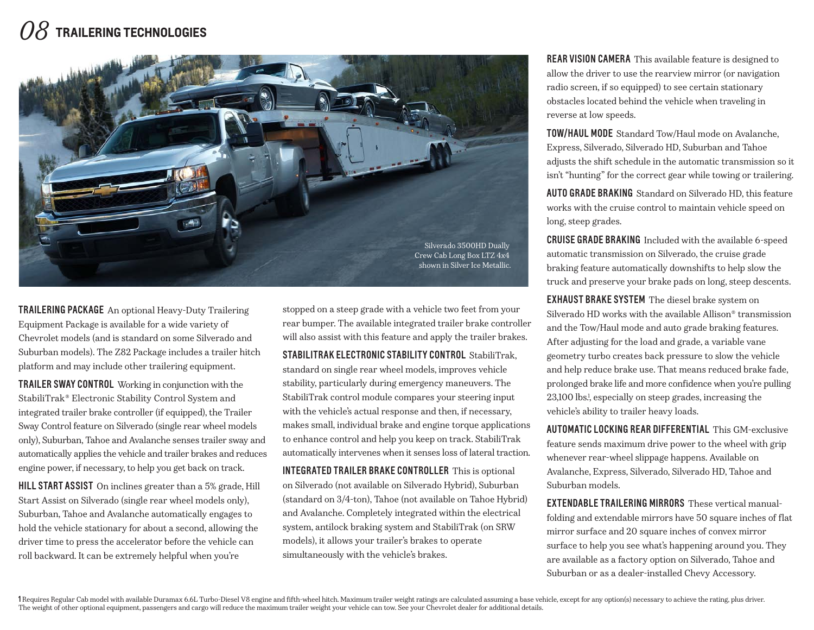# *08* **trailering technologies**



TRAILERING PACKAGE An optional Heavy-Duty Trailering Equipment Package is available for a wide variety of Chevrolet models (and is standard on some Silverado and Suburban models). The Z82 Package includes a trailer hitch platform and may include other trailering equipment.

**TRAILER SWAY CONTROL** Working in conjunction with the StabiliTrak® Electronic Stability Control System and integrated trailer brake controller (if equipped), the Trailer Sway Control feature on Silverado (single rear wheel models only), Suburban, Tahoe and Avalanche senses trailer sway and automatically applies the vehicle and trailer brakes and reduces engine power, if necessary, to help you get back on track.

HILL START ASSIST On inclines greater than a 5% grade, Hill Start Assist on Silverado (single rear wheel models only), Suburban, Tahoe and Avalanche automatically engages to hold the vehicle stationary for about a second, allowing the driver time to press the accelerator before the vehicle can roll backward. It can be extremely helpful when you're

stopped on a steep grade with a vehicle two feet from your rear bumper. The available integrated trailer brake controller will also assist with this feature and apply the trailer brakes.

STABILITRAK ELECTRONIC STABILITY CONTROL StabiliTrak. standard on single rear wheel models, improves vehicle stability, particularly during emergency maneuvers. The StabiliTrak control module compares your steering input with the vehicle's actual response and then, if necessary, makes small, individual brake and engine torque applications to enhance control and help you keep on track. StabiliTrak automatically intervenes when it senses loss of lateral traction.

INTEGRATED TRAILER BRAKE CONTROLLER This is optional on Silverado (not available on Silverado Hybrid), Suburban (standard on 3/4-ton), Tahoe (not available on Tahoe Hybrid) and Avalanche. Completely integrated within the electrical system, antilock braking system and StabiliTrak (on SRW models), it allows your trailer's brakes to operate simultaneously with the vehicle's brakes.

**REAR VISION CAMERA** This available feature is designed to allow the driver to use the rearview mirror (or navigation radio screen, if so equipped) to see certain stationary obstacles located behind the vehicle when traveling in reverse at low speeds.

TOW/HAUL MODE Standard Tow/Haul mode on Avalanche, Express, Silverado, Silverado HD, Suburban and Tahoe adjusts the shift schedule in the automatic transmission so it isn't "hunting" for the correct gear while towing or trailering.

AUTO GRADE BRAKING Standard on Silverado HD, this feature works with the cruise control to maintain vehicle speed on long, steep grades.

**CRUISE GRADE BRAKING** Included with the available 6-speed automatic transmission on Silverado, the cruise grade braking feature automatically downshifts to help slow the truck and preserve your brake pads on long, steep descents.

EXHAUST BRAKE SYSTEM The diesel brake system on Silverado HD works with the available Allison® transmission and the Tow/Haul mode and auto grade braking features. After adjusting for the load and grade, a variable vane geometry turbo creates back pressure to slow the vehicle and help reduce brake use. That means reduced brake fade, prolonged brake life and more confidence when you're pulling 23,100 lbs.1 , especially on steep grades, increasing the vehicle's ability to trailer heavy loads.

AUTOMATIC LOCKING REAR DIFFERENTIAL This GM-exclusive feature sends maximum drive power to the wheel with grip whenever rear-wheel slippage happens. Available on Avalanche, Express, Silverado, Silverado HD, Tahoe and Suburban models.

**EXTENDABLE TRAIL FRING MIRRORS** These vertical manualfolding and extendable mirrors have 50 square inches of flat mirror surface and 20 square inches of convex mirror surface to help you see what's happening around you. They are available as a factory option on Silverado, Tahoe and Suburban or as a dealer-installed Chevy Accessory.

I Requires Regular Cab model with available Duramax 6.6L Turbo-Diesel V8 engine and fifth-wheel hitch. Maximum trailer weight ratings are calculated assuming a base vehicle, except for any option(s) necessary to achieve th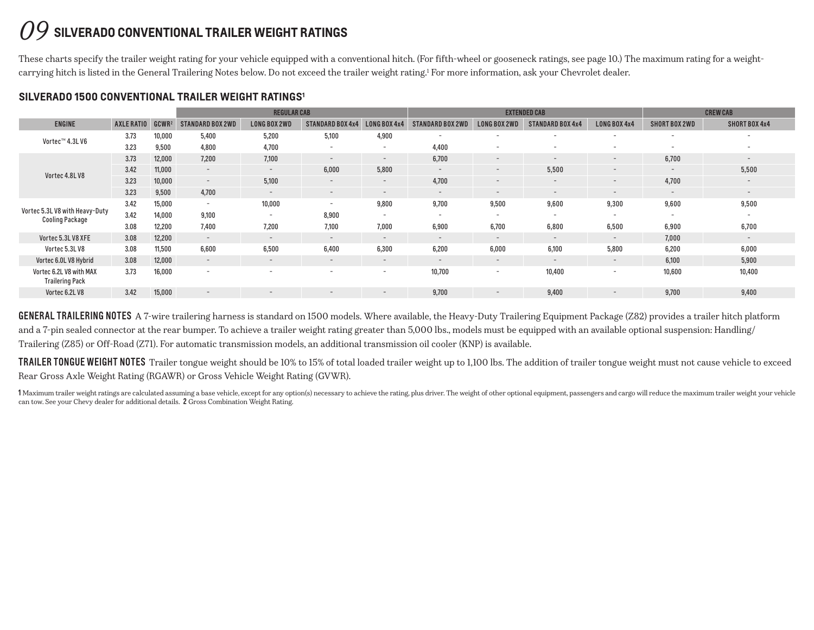## *09* **silverado conventional trailer weight ratings**

These charts specify the trailer weight rating for your vehicle equipped with a conventional hitch. (For fifth-wheel or gooseneck ratings, see page 10.) The maximum rating for a weightcarrying hitch is listed in the General Trailering Notes below. Do not exceed the trailer weight rating.<sup>1</sup> For more information, ask your Chevrolet dealer.

|                                                          |            |                   |                          | <b>REGULAR CAB</b>       |                          |                          |                          |                          | <b>EXTENDED CAB</b>      |                          | <b>CREW CAB</b>          |                          |  |
|----------------------------------------------------------|------------|-------------------|--------------------------|--------------------------|--------------------------|--------------------------|--------------------------|--------------------------|--------------------------|--------------------------|--------------------------|--------------------------|--|
| <b>ENGINE</b>                                            | AXLE RATIO | GCWR <sup>2</sup> | <b>STANDARD BOX 2WD</b>  | <b>LONG BOX 2WD</b>      | <b>STANDARD BOX 4x4</b>  | <b>LONG BOX 4x4</b>      | <b>STANDARD BOX 2WD</b>  | <b>LONG BOX 2WD</b>      | <b>STANDARD BOX 4x4</b>  | LONG BOX 4x4             | SHORT BOX 2WD            | SHORT BOX 4x4            |  |
| Vortec™ 4.3L V6                                          | 3.73       | 10,000            | 5,400                    | 5,200                    | 5,100                    | 4,900                    | $\overline{\phantom{0}}$ | $\overline{\phantom{a}}$ | $\overline{\phantom{0}}$ | $\overline{\phantom{0}}$ | $\overline{\phantom{0}}$ | $\overline{\phantom{0}}$ |  |
|                                                          | 3.23       | 9,500             | 4,800                    | 4,700                    | $\overline{\phantom{0}}$ | $\overline{\phantom{a}}$ | 4,400                    |                          |                          |                          | $\overline{\phantom{0}}$ | $\overline{\phantom{0}}$ |  |
|                                                          | 3.73       | 12,000            | 7.200                    | 7.100                    | $\overline{\phantom{a}}$ | $\overline{\phantom{a}}$ | 6,700                    | $\overline{\phantom{a}}$ | $\overline{\phantom{0}}$ | $-$                      | 6,700                    | $\overline{\phantom{a}}$ |  |
| Vortec 4.8LV8                                            | 3.42       | 11,000            | $\sim$                   | $\sim$                   | 6,000                    | 5,800                    | $-$                      | $\overline{a}$           | 5,500                    | $\qquad \qquad -$        | $\overline{\phantom{0}}$ | 5,500                    |  |
|                                                          | 3.23       | 10,000            | $\sim$                   | 5,100                    | $\sim$                   | $\sim$                   | 4,700                    | $\overline{\phantom{a}}$ | $\overline{\phantom{a}}$ | $-$                      | 4,700                    | $\overline{\phantom{a}}$ |  |
|                                                          | 3.23       | 9,500             | 4,700                    | $\sim$                   | $\overline{\phantom{a}}$ | $\overline{\phantom{a}}$ | $\overline{\phantom{a}}$ | $\overline{\phantom{a}}$ | $\overline{\phantom{0}}$ | $\overline{a}$           | $\sim$                   | $\overline{\phantom{a}}$ |  |
|                                                          | 3.42       | 15,000            | $\sim$                   | 10,000                   | $\overline{\phantom{a}}$ | 9,800                    | 9,700                    | 9,500                    | 9,600                    | 9,300                    | 9,600                    | 9,500                    |  |
| Vortec 5.3L V8 with Heavy-Duty<br><b>Cooling Package</b> | 3.42       | 14,000            | 9,100                    | $\sim$                   | 8,900                    | $\sim$                   | $\overline{a}$           | $\overline{a}$           | $\overline{\phantom{0}}$ | $\overline{\phantom{a}}$ | $\overline{\phantom{a}}$ | $\overline{\phantom{a}}$ |  |
|                                                          | 3.08       | 12,200            | 7,400                    | 7,200                    | 7,100                    | 7,000                    | 6,900                    | 6,700                    | 6,800                    | 6,500                    | 6,900                    | 6,700                    |  |
| Vortec 5.3L V8 XFE                                       | 3.08       | 12,200            | $-$                      | $\overline{\phantom{0}}$ | $\overline{\phantom{a}}$ | $\sim$                   | $\qquad \qquad -$        | $\overline{\phantom{a}}$ | $\overline{\phantom{0}}$ | $-$                      | 7,000                    | $\overline{\phantom{a}}$ |  |
| Vortec 5.3LV8                                            | 3.08       | 11,500            | 6,600                    | 6,500                    | 6,400                    | 6,300                    | 6,200                    | 6,000                    | 6,100                    | 5,800                    | 6,200                    | 6,000                    |  |
| Vortec 6.0L V8 Hybrid                                    | 3.08       | 12,000            | $\overline{a}$           | $\overline{\phantom{0}}$ | $\overline{\phantom{a}}$ | $\overline{\phantom{a}}$ | $\overline{\phantom{a}}$ | $\overline{\phantom{0}}$ | $\overline{\phantom{0}}$ | $\qquad \qquad -$        | 6.100                    | 5,900                    |  |
| Vortec 6.2L V8 with MAX<br><b>Trailering Pack</b>        | 3.73       | 16,000            | $\overline{\phantom{0}}$ | $\overline{\phantom{a}}$ | $\overline{\phantom{a}}$ | $\sim$                   | 10,700                   | -                        | 10,400                   | $\overline{\phantom{0}}$ | 10,600                   | 10,400                   |  |
| Vortec 6.2L V8                                           | 3.42       | 15,000            | $\overline{a}$           | $\overline{\phantom{0}}$ | $\overline{\phantom{a}}$ | $\overline{\phantom{a}}$ | 9,700                    | $\overline{\phantom{a}}$ | 9,400                    | $\overline{\phantom{a}}$ | 9,700                    | 9,400                    |  |

GENERAL TRAILERING NOTES A 7-wire trailering harness is standard on 1500 models. Where available, the Heavy-Duty Trailering Equipment Package (Z82) provides a trailer hitch platform and a 7-pin sealed connector at the rear bumper. To achieve a trailer weight rating greater than 5,000 lbs., models must be equipped with an available optional suspension: Handling/ Trailering (Z85) or Off-Road (Z71). For automatic transmission models, an additional transmission oil cooler (KNP) is available.

TRAILER TONGUE WEIGHT NOTES Trailer tongue weight should be 10% to 15% of total loaded trailer weight up to 1,100 lbs. The addition of trailer tongue weight must not cause vehicle to exceed Rear Gross Axle Weight Rating (RGAWR) or Gross Vehicle Weight Rating (GVWR).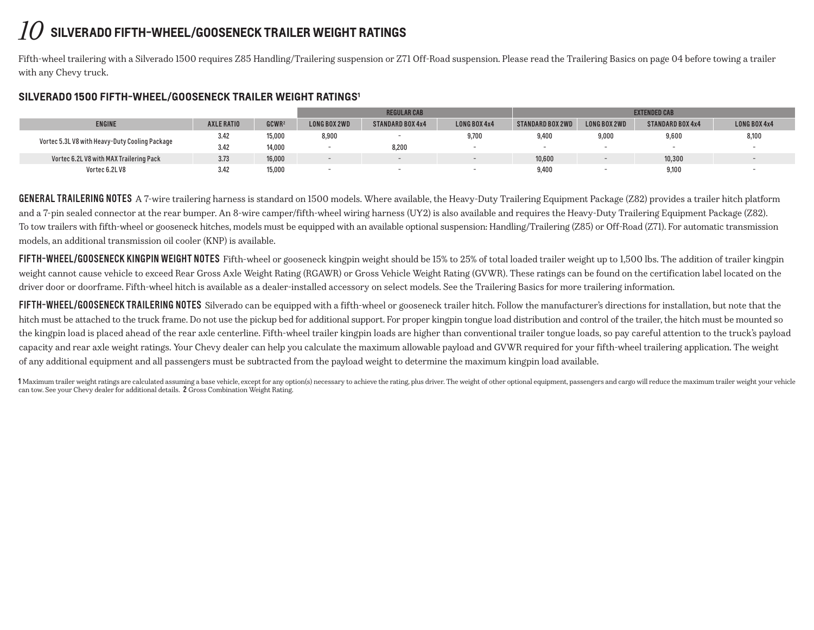## *10* **silverado fifth-wheel/gooseneck trailer weight ratings**

Fifth-wheel trailering with a Silverado 1500 requires Z85 Handling/Trailering suspension or Z71 Off-Road suspension. Please read the Trailering Basics on page 04 before towing a trailer with any Chevy truck.

#### **Silverado 1500 fifth-wheel/gooseneck Trailer weight ratings1**

|                                                |            |                   |              | <b>REGULAR CAB</b>      |                     | <b>EXTENDED CAB</b> |              |                         |              |  |  |
|------------------------------------------------|------------|-------------------|--------------|-------------------------|---------------------|---------------------|--------------|-------------------------|--------------|--|--|
| <b>ENGINE</b>                                  | AXLE RATIO | GCWR <sup>2</sup> | LONG BOX 2WD | <b>STANDARD BOX 4x4</b> | <b>LONG BOX 4x4</b> | STANDARD BOX 2WD    | LONG BOX 2WD | <b>STANDARD BOX 4x4</b> | LONG BOX 4x4 |  |  |
| Vortec 5.3L V8 with Heavy-Duty Cooling Package | 3.42       | 15,000            | 8,900        |                         | 9,700               | 9.400               | 9.000        | 9.600                   | 8,100        |  |  |
|                                                | 3.42       | 14,000            |              | 8,200                   |                     |                     |              |                         |              |  |  |
| Vortec 6.2L V8 with MAX Trailering Pack        | 3.73       | 16,000            |              |                         |                     | 10,600              |              | 10,300                  |              |  |  |
| Vortec 6.2L V8                                 | 3.42       | 15,000            |              |                         |                     | 9,400               |              | 9,100                   |              |  |  |

**GENERAL TRAILERING NOTES** A 7-wire trailering harness is standard on 1500 models. Where available, the Heavy-Duty Trailering Equipment Package (Z82) provides a trailer hitch platform and a 7-pin sealed connector at the rear bumper. An 8-wire camper/fifth-wheel wiring harness (UY2) is also available and requires the Heavy-Duty Trailering Equipment Package (Z82). To tow trailers with fifth-wheel or gooseneck hitches, models must be equipped with an available optional suspension: Handling/Trailering (Z85) or Off-Road (Z71). For automatic transmission models, an additional transmission oil cooler (KNP) is available.

FIFTH-WHEEL/GOOSENECK KINGPIN WEIGHT NOTES Fifth-wheel or gooseneck kingpin weight should be 15% to 25% of total loaded trailer weight up to 1,500 lbs. The addition of trailer kingpin weight cannot cause vehicle to exceed Rear Gross Axle Weight Rating (RGAWR) or Gross Vehicle Weight Rating (GVWR). These ratings can be found on the certification label located on the driver door or doorframe. Fifth-wheel hitch is available as a dealer-installed accessory on select models. See the Trailering Basics for more trailering information.

FIFTH-WHEEL/GOOSENECK TRAILERING NOTES Silverado can be equipped with a fifth-wheel or gooseneck trailer hitch. Follow the manufacturer's directions for installation, but note that the hitch must be attached to the truck frame. Do not use the pickup bed for additional support. For proper kingpin tongue load distribution and control of the trailer, the hitch must be mounted so the kingpin load is placed ahead of the rear axle centerline. Fifth-wheel trailer kingpin loads are higher than conventional trailer tongue loads, so pay careful attention to the truck's payload capacity and rear axle weight ratings. Your Chevy dealer can help you calculate the maximum allowable payload and GVWR required for your fifth-wheel trailering application. The weight of any additional equipment and all passengers must be subtracted from the payload weight to determine the maximum kingpin load available.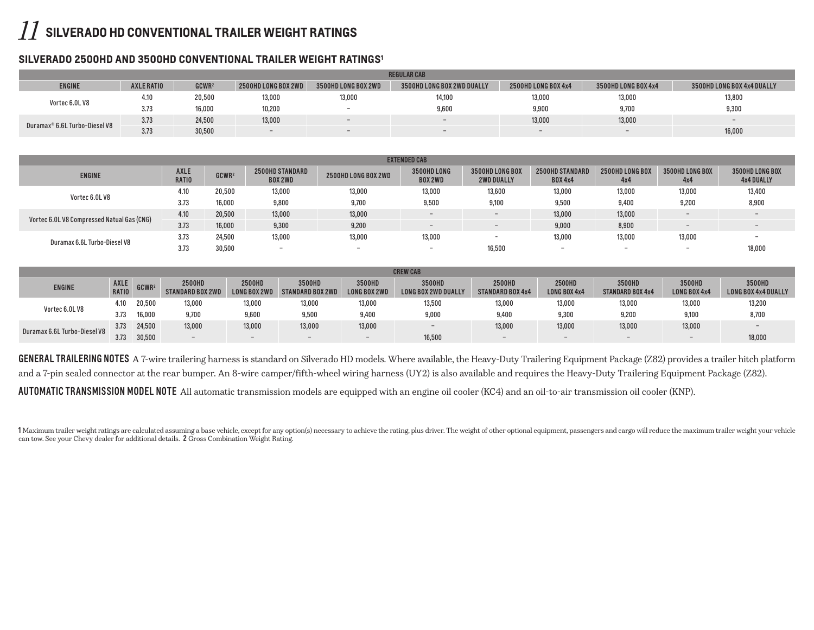## *11* **silverado HD conventional trailer weight ratings**

#### **Silverado 2500HD and 3500HD Conventional Trailer Weight Ratings1**

|                               | <b>REGULAR CAB</b> |                   |                     |                     |                                 |                          |                     |                            |  |  |  |  |  |  |
|-------------------------------|--------------------|-------------------|---------------------|---------------------|---------------------------------|--------------------------|---------------------|----------------------------|--|--|--|--|--|--|
| <b>ENGINE</b>                 | <b>AXLE RATIO</b>  | GCWR <sup>2</sup> | 2500HD LONG BOX 2WD | 3500HD LONG BOX 2WD | 3500HD LONG BOX 2WD DUALLY      | 2500HD LONG BOX 4x4      | 3500HD LONG BOX 4x4 | 3500HD LONG BOX 4x4 DUALLY |  |  |  |  |  |  |
| Vortec 6.0LV8                 | 4.10               | 20,500            | 13,000              | 13,000              | 14,100                          | 13,000                   | 13,000              | 13,800                     |  |  |  |  |  |  |
|                               | 3.73               | 16,000            | 10,200              | -                   | 9,600                           | 9,900                    | 9,700               | 9,300                      |  |  |  |  |  |  |
| Duramax® 6.6L Turbo-Diesel V8 | 3.73               | 24,500            | 13,000              | $-$                 | $\hspace{0.1mm}-\hspace{0.1mm}$ | 13,000                   | 13,000              | $-$                        |  |  |  |  |  |  |
|                               | 3.73               | 30,500            | $-$                 | $-$                 | $-$                             | $\overline{\phantom{0}}$ | $-$                 | 16,000                     |  |  |  |  |  |  |

| <b>EXTENDED CAB</b>                        |                             |                   |                                   |                     |                               |                                      |                                          |                          |                          |                                      |  |  |  |
|--------------------------------------------|-----------------------------|-------------------|-----------------------------------|---------------------|-------------------------------|--------------------------------------|------------------------------------------|--------------------------|--------------------------|--------------------------------------|--|--|--|
| <b>ENGINE</b>                              | <b>AXLE</b><br><b>RATIO</b> | GCWR <sup>2</sup> | 2500HD STANDARD<br><b>BOX 2WD</b> | 2500HD LONG BOX 2WD | 3500HD LONG<br><b>BOX 2WD</b> | 3500HD LONG BOX<br><b>2WD DUALLY</b> | <b>2500HD STANDARD</b><br><b>BOX 4x4</b> | 2500HD LONG BOX<br>4x4   | 3500HD LONG BOX<br>4x4   | 3500HD LONG BOX<br><b>4x4 DUALLY</b> |  |  |  |
| Vortec 6.0L V8                             | 4.10                        | 20,500            | 13,000                            | 13,000              | 13,000                        | 13,600                               | 13,000                                   | 13,000                   | 13,000                   | 13,400                               |  |  |  |
|                                            | 3.73                        | 16,000            | 9,800                             | 9.700               | 9.500                         | 9,100                                | 9.500                                    | 9.400                    | 9,200                    | 8,900                                |  |  |  |
| Vortec 6.0L V8 Compressed Natual Gas (CNG) | 4.10                        | 20,500            | 13,000                            | 13,000              | $\overline{\phantom{0}}$      | $-$                                  | 13,000                                   | 13,000                   | $\overline{\phantom{0}}$ |                                      |  |  |  |
|                                            | 3.73                        | 16,000            | 9.300                             | 9,200               | $\overline{\phantom{a}}$      |                                      | 9,000                                    | 8,900                    | $\qquad \qquad$          |                                      |  |  |  |
| Duramax 6.6L Turbo-Diesel V8               | 3.73                        | 24,500            | 13,000                            | 13,000              | 13,000                        | $\overline{\phantom{a}}$             | 13,000                                   | 13,000                   | 13,000                   | $\overline{\phantom{0}}$             |  |  |  |
|                                            | 3.73                        | 30,500            | $\overline{\phantom{0}}$          | --                  | $\overline{\phantom{0}}$      | 16,500                               | $\overline{\phantom{0}}$                 | $\overline{\phantom{0}}$ | $\overline{\phantom{0}}$ | 18,000                               |  |  |  |

|                              | <b>CREW CAB</b> |                 |                                   |                                      |                            |                        |                                      |                            |                               |                                   |                          |                                      |  |  |
|------------------------------|-----------------|-----------------|-----------------------------------|--------------------------------------|----------------------------|------------------------|--------------------------------------|----------------------------|-------------------------------|-----------------------------------|--------------------------|--------------------------------------|--|--|
| <b>ENGINE</b>                | RATIO           | $AXLE$ $GCWR^2$ | 2500HD<br><b>STANDARD BOX 2WD</b> | <b>2500HD</b><br><b>LONG BOX 2WL</b> | 3500HD<br>STANDARD BOX 2WD | 3500HD<br>LONG BOX 2WD | 3500HD<br><b>LONG BOX 2WD DUALLY</b> | 2500HD<br>STANDARD BOX 4x4 | 2500HD<br><b>LONG BOX 4x4</b> | 3500HD<br><b>STANDARD BOX 4x4</b> | 3500HD<br>LONG BOX 4x4   | 3500HD<br><b>LONG BOX 4x4 DUALLY</b> |  |  |
| Vortec 6.0LV8                | 4.10            | 20,500          | 13,000                            | 13,000                               | 13,000                     | 13,000                 | 13,500                               | 13,000                     | 13,000                        | 13,000                            | 13,000                   | 13,200                               |  |  |
|                              | 3.73            | 16,000          | 9.700                             | 9,600                                | 9,500                      | 9,400                  | 9,000                                | 9.400                      | 9.300                         | 9.200                             | 9.100                    | 8,700                                |  |  |
| Duramax 6.6L Turbo-Diesel V8 | 3.73            | 24,500          | 13,000                            | 13,000                               | 13,000                     | 13,000                 | $\overline{\phantom{0}}$             | 13,000                     | 13,000                        | 13,000                            | 13,000                   |                                      |  |  |
|                              | 3.73            | 30,500          | $\overline{\phantom{0}}$          | $-$                                  |                            |                        | 16,500                               | -                          | $\overline{\phantom{0}}$      | $\overline{\phantom{0}}$          | $\overline{\phantom{a}}$ | 18,000                               |  |  |

GENERAL TRAILERING NOTES A 7-wire trailering harness is standard on Silverado HD models. Where available, the Heavy-Duty Trailering Equipment Package (Z82) provides a trailer hitch platform and a 7-pin sealed connector at the rear bumper. An 8-wire camper/fifth-wheel wiring harness (UY2) is also available and requires the Heavy-Duty Trailering Equipment Package (Z82).

AUTOMATIC TRANSMISSION MODEL NOTE All automatic transmission models are equipped with an engine oil cooler (KC4) and an oil-to-air transmission oil cooler (KNP).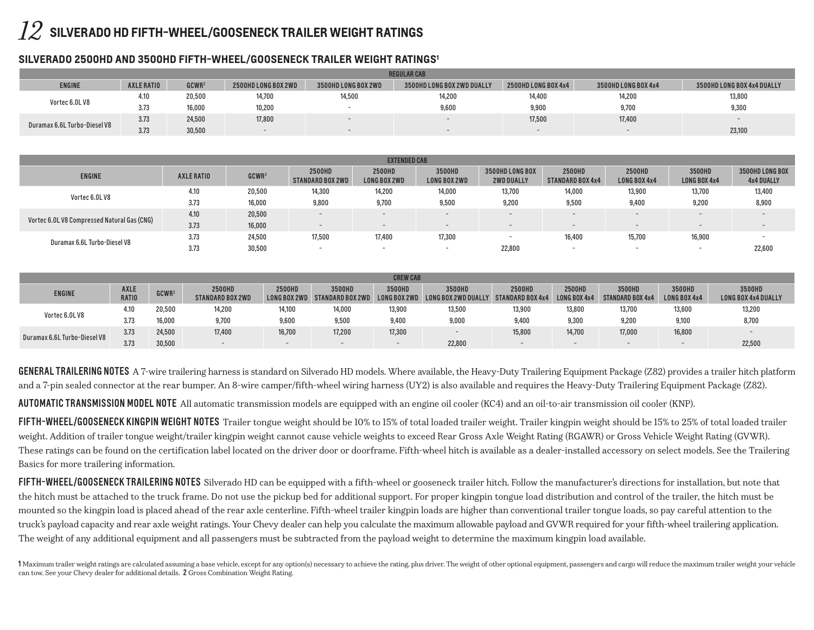## *12* **SILVERADO HD Fifth-wheel/gooseneck TRAILER WEIGHT RATINGS**

### **Silverado 2500HD and 3500HD Fifth-Wheel/GooseNeck Trailer Weight Ratings1**

|                              | <b>REGULAR CAB</b> |                   |                          |                     |                            |                          |                     |                            |  |  |  |  |  |  |
|------------------------------|--------------------|-------------------|--------------------------|---------------------|----------------------------|--------------------------|---------------------|----------------------------|--|--|--|--|--|--|
| <b>ENGINE</b>                | AXLE RATIO         | GCWR <sup>2</sup> | 2500HD LONG BOX 2WD      | 3500HD LONG BOX 2WD | 3500HD LONG BOX 2WD DUALLY | 2500HD LONG BOX 4x4      | 3500HD LONG BOX 4x4 | 3500HD LONG BOX 4x4 DUALLY |  |  |  |  |  |  |
| Vortec 6.0LV8                | 7.IU               | 20,500            | 14,700                   | 14,500              | 14,200                     | 14,400                   | 14,200              | 13,800                     |  |  |  |  |  |  |
|                              | 3.73               | 16,000            | 10,200                   |                     | 9,600                      | 9,900                    | 9,700               | 9,300                      |  |  |  |  |  |  |
| Duramax 6.6L Turbo-Diesel V8 | 3.73               | 24,500            | 17,800                   |                     |                            | 17,500                   | 17,400              |                            |  |  |  |  |  |  |
|                              | 0.70<br>3.73       | 30,500            | $\overline{\phantom{0}}$ |                     | $\overline{\phantom{0}}$   | $\overline{\phantom{0}}$ | $-$                 | 23,100                     |  |  |  |  |  |  |

| <b>EXTENDED CAB</b>                         |            |                   |                            |                               |                               |                                             |                                   |                               |                               |                                      |  |  |  |
|---------------------------------------------|------------|-------------------|----------------------------|-------------------------------|-------------------------------|---------------------------------------------|-----------------------------------|-------------------------------|-------------------------------|--------------------------------------|--|--|--|
| <b>ENGINE</b>                               | AXLE RATIO | GCWR <sup>2</sup> | 2500HD<br>STANDARD BOX 2WD | <b>2500HD</b><br>LONG BOX 2WD | 3500HD<br><b>LONG BOX 2WD</b> | <b>3500HD LONG BOX</b><br><b>2WD DUALLY</b> | 2500HD<br><b>STANDARD BOX 4x4</b> | <b>2500HD</b><br>LONG BOX 4x4 | 3500HD<br><b>LONG BOX 4x4</b> | 3500HD LONG BOX<br><b>4x4 DUALLY</b> |  |  |  |
| Vortec 6.0LV8                               | 4.10       | 20,500            | 14,300                     | 14,200                        | 14,000                        | 13,700                                      | 14,000                            | 13,900                        | 13,700                        | 13,400                               |  |  |  |
|                                             | 3.73       | 16,000            | 9,800                      | 9.700                         | 9.500                         | 9,200                                       | 9,500                             | 9,400                         | 9,200                         | 8,900                                |  |  |  |
| Vortec 6.0L V8 Compressed Natural Gas (CNG) | 4.10       | 20,500            |                            |                               |                               | $\overline{\phantom{0}}$                    | $\overline{\phantom{0}}$          | $\overline{\phantom{0}}$      | $\sim$                        |                                      |  |  |  |
|                                             | 3.73       | 16,000            | -                          |                               | $\overline{\phantom{a}}$      | -                                           | $\overline{\phantom{0}}$          |                               |                               |                                      |  |  |  |
| Duramax 6.6L Turbo-Diesel V8                | 3.73       | 24,500            | 17,500                     | 17,400                        | 17,300                        | $\overline{\phantom{0}}$                    | 16,400                            | 15,700                        | 16,900                        |                                      |  |  |  |
|                                             | 3.73       | 30,500            |                            | $\sim$                        | $\overline{\phantom{a}}$      | 22,800                                      |                                   |                               |                               | 22,600                               |  |  |  |

| <b>CREW CAB</b>              |                             |                   |                                   |        |                                         |                          |                                                             |                          |                               |                                   |                               |                                      |
|------------------------------|-----------------------------|-------------------|-----------------------------------|--------|-----------------------------------------|--------------------------|-------------------------------------------------------------|--------------------------|-------------------------------|-----------------------------------|-------------------------------|--------------------------------------|
| <b>ENGINE</b>                | <b>AXLE</b><br><b>RATIO</b> | GCWR <sup>2</sup> | 2500HD<br><b>STANDARD BOX 2WD</b> | 2500HD | 3500HD<br>LONG BOX 2WD STANDARD BOX 2WD | 3500HD                   | 3500HD<br>LONG BOX 2WD LONG BOX 2WD DUALLY STANDARD BOX 4x4 | <b>2500HD</b>            | 2500HD<br><b>LONG BOX 4x4</b> | 3500HD<br><b>STANDARD BOX 4x4</b> | 3500HD<br><b>LONG BOX 4x4</b> | 3500HD<br><b>LONG BOX 4x4 DUALLY</b> |
| Vortec 6.0LV8                | 4.10                        | 20,500            | 14.200                            | 14,100 | 14.000                                  | 13.900                   | 13,500                                                      | 13,900                   | 13,800                        | 13,700                            | 13,600                        | 13,200                               |
|                              | 3.73                        | 16,000            | 9,700                             | 9,600  | 9,500                                   | 9,400                    | 9,000                                                       | 9,400                    | 9,300                         | 9,200                             | 9,100                         | 8,700                                |
| Duramax 6.6L Turbo-Diesel V8 | 3.73                        | 24,500            | 17,400                            | 16,700 | 17,200                                  | 17,300                   |                                                             | 15,800                   | 14,700                        | 17,000                            | 16,800                        | $\overline{\phantom{a}}$             |
|                              | 3.73                        | 30,500            |                                   |        |                                         | $\overline{\phantom{0}}$ | 22,800                                                      | $\overline{\phantom{0}}$ | $-$                           | $-$                               |                               | 22,500                               |

**GENERAL TRAILERING NOTES** A 7-wire trailering harness is standard on Silverado HD models. Where available, the Heavy-Duty Trailering Equipment Package (Z82) provides a trailer hitch platform and a 7-pin sealed connector at the rear bumper. An 8-wire camper/fifth-wheel wiring harness (UY2) is also available and requires the Heavy-Duty Trailering Equipment Package (Z82).

Automatic Transmission Model Note All automatic transmission models are equipped with an engine oil cooler (KC4) and an oil-to-air transmission oil cooler (KNP).

FIFTH-WHEEL/GOOSENECK KINGPIN WEIGHT NOTES Trailer tongue weight should be 10% to 15% of total loaded trailer weight. Trailer kingpin weight should be 15% to 25% of total loaded trailer weight. Addition of trailer tongue weight/trailer kingpin weight cannot cause vehicle weights to exceed Rear Gross Axle Weight Rating (RGAWR) or Gross Vehicle Weight Rating (GVWR). These ratings can be found on the certification label located on the driver door or doorframe. Fifth-wheel hitch is available as a dealer-installed accessory on select models. See the Trailering Basics for more trailering information.

FIFTH-WHEEL/GOOSENECK TRAILERING NOTES Silverado HD can be equipped with a fifth-wheel or gooseneck trailer hitch. Follow the manufacturer's directions for installation, but note that the hitch must be attached to the truck frame. Do not use the pickup bed for additional support. For proper kingpin tongue load distribution and control of the trailer, the hitch must be mounted so the kingpin load is placed ahead of the rear axle centerline. Fifth-wheel trailer kingpin loads are higher than conventional trailer tongue loads, so pay careful attention to the truck's payload capacity and rear axle weight ratings. Your Chevy dealer can help you calculate the maximum allowable payload and GVWR required for your fifth-wheel trailering application. The weight of any additional equipment and all passengers must be subtracted from the payload weight to determine the maximum kingpin load available.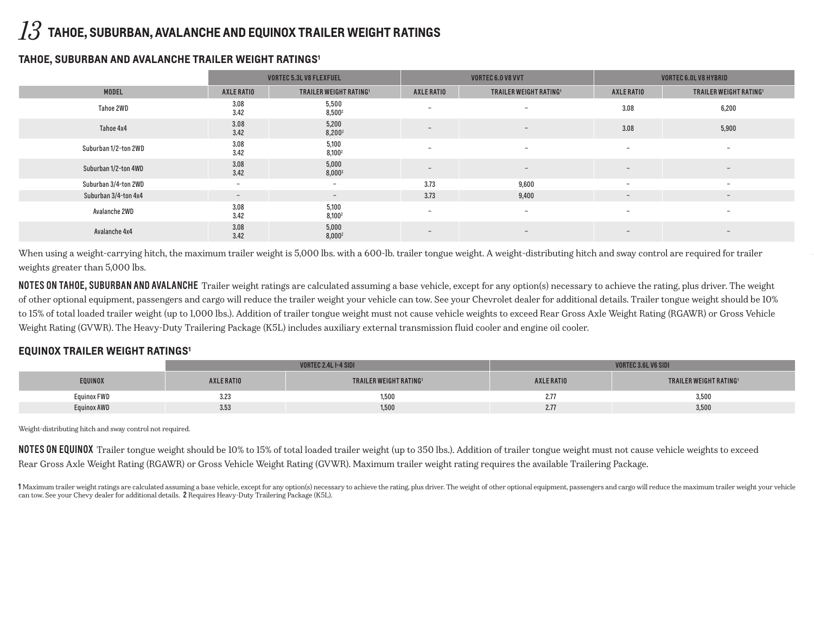## *13* **Tahoe, Suburban, Avalanche And Equinox Trailer Weight Ratings**

#### **Tahoe, Suburban and Avalanche Trailer Weight Ratings1**

|                      |                          | <b>VORTEC 5.3L V8 FLEXFUEL</b> |                          | VORTEC 6.0 V8 VVT                  | <b>VORTEC 6.0L V8 HYBRID</b> |                               |  |
|----------------------|--------------------------|--------------------------------|--------------------------|------------------------------------|------------------------------|-------------------------------|--|
| <b>MODEL</b>         | AXLE RATIO               | <b>TRAILER WEIGHT RATING1</b>  | AXLE RATIO               | TRAILER WEIGHT RATING <sup>1</sup> | AXLE RATIO                   | <b>TRAILER WEIGHT RATING1</b> |  |
| Tahoe 2WD            | 3.08<br>3.42             | 5,500<br>8,500 <sup>2</sup>    | $\overline{\phantom{0}}$ | $\overline{\phantom{0}}$           | 3.08                         | 6,200                         |  |
| Tahoe 4x4            | 3.08<br>3.42             | 5,200<br>$8,200^2$             | $\overline{\phantom{a}}$ | $-$                                | 3.08                         | 5,900                         |  |
| Suburban 1/2-ton 2WD | 3.08<br>3.42             | 5,100<br>8,100 <sup>2</sup>    | $\overline{\phantom{0}}$ | $\overline{\phantom{0}}$           | $\overline{\phantom{0}}$     | $\qquad \qquad \blacksquare$  |  |
| Suburban 1/2-ton 4WD | 3.08<br>3.42             | 5,000<br>$8,000^2$             | $-$                      | $-$                                | $\overline{\phantom{0}}$     | $-$                           |  |
| Suburban 3/4-ton 2WD | $\sim$                   | $\overline{\phantom{0}}$       | 3.73                     | 9,600                              | $\overline{\phantom{0}}$     | $\overline{\phantom{0}}$      |  |
| Suburban 3/4-ton 4x4 | $\overline{\phantom{a}}$ | $\sim$                         | 3.73                     | 9,400                              | $\overline{\phantom{a}}$     | $\overline{\phantom{a}}$      |  |
| Avalanche 2WD        | 3.08<br>3.42             | 5,100<br>$8,100^2$             | $\overline{\phantom{0}}$ | $\overline{\phantom{0}}$           | $\overline{\phantom{0}}$     | $\overline{\phantom{0}}$      |  |
| Avalanche 4x4        | 3.08<br>3.42             | 5,000<br>$8,000^2$             | $-$                      | $-$                                | $-$                          | $-$                           |  |

When using a weight-carrying hitch, the maximum trailer weight is 5,000 lbs. with a 600-lb. trailer tongue weight. A weight-distributing hitch and sway control are required for trailer weights greater than 5,000 lbs.

NOTES ON TAHOE, SUBURBAN AND AVALANCHE Trailer weight ratings are calculated assuming a base vehicle, except for any option(s) necessary to achieve the rating, plus driver. The weight of other optional equipment, passengers and cargo will reduce the trailer weight your vehicle can tow. See your Chevrolet dealer for additional details. Trailer tongue weight should be 10% to 15% of total loaded trailer weight (up to 1,000 lbs.). Addition of trailer tongue weight must not cause vehicle weights to exceed Rear Gross Axle Weight Rating (RGAWR) or Gross Vehicle Weight Rating (GVWR). The Heavy-Duty Trailering Package (K5L) includes auxiliary external transmission fluid cooler and engine oil cooler.

### **equinox Trailer Weight Ratings1**

|                    |            | ORTEC 2.4L I-4 SIDI           | ORTEC 3.6L V6 SIDI |                               |  |
|--------------------|------------|-------------------------------|--------------------|-------------------------------|--|
| EQUINOX            | AXLE RATIO | <b>TRAILER WEIGHT RATING1</b> | AXLE RATIO         | <b>TRAILER WEIGHT RATING1</b> |  |
| <b>Equinox FWD</b> | 3.23       | 1,500                         | 2.11               | 3,500                         |  |
| Equinox AWD        | 3.53       | 1,500                         | 2.77               | 3,500                         |  |

Weight-distributing hitch and sway control not required.

NOTES ON EQUINOX Trailer tongue weight should be 10% to 15% of total loaded trailer weight (up to 350 lbs.). Addition of trailer tongue weight must not cause vehicle weights to exceed Rear Gross Axle Weight Rating (RGAWR) or Gross Vehicle Weight Rating (GVWR). Maximum trailer weight rating requires the available Trailering Package.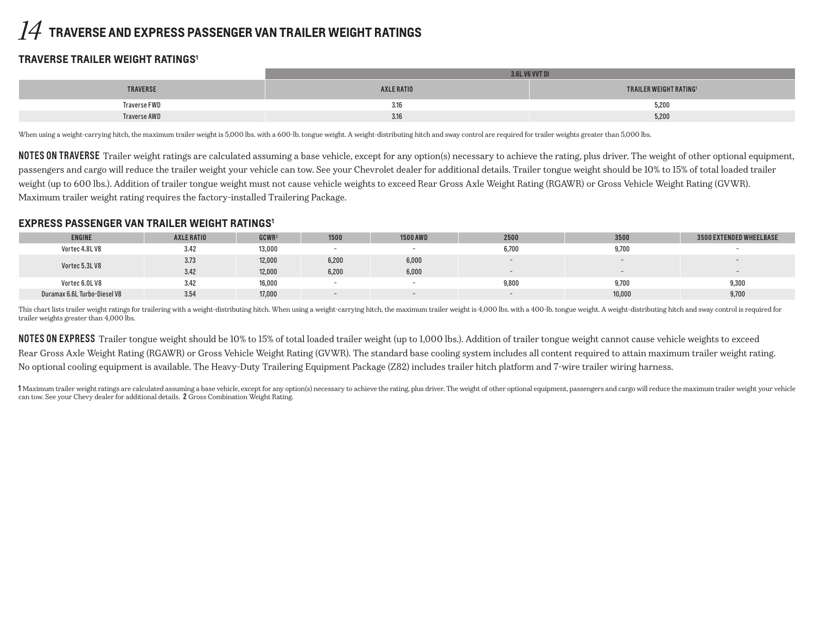## *14* **Traverse And Express Passenger Van Trailer Weight Ratings**

## **traverse Trailer Weight Ratings1**

|                 | i vvt di   |                               |  |  |  |  |  |
|-----------------|------------|-------------------------------|--|--|--|--|--|
| <b>TRAVERSE</b> | AXLE RATIO | <b>TRAILER WEIGHT RATING1</b> |  |  |  |  |  |
| Traverse FWD    | 3.16       | 5,200                         |  |  |  |  |  |
| Traverse AWD    | 3.16       | 5,200                         |  |  |  |  |  |

When using a weight-carrying hitch, the maximum trailer weight is 5,000 lbs. with a 600-lb. tongue weight. A weight-distributing hitch and sway control are required for trailer weights greater than 5,000 lbs.

NOTES ON TRAVERSE Trailer weight ratings are calculated assuming a base vehicle, except for any option(s) necessary to achieve the rating, plus driver. The weight of other optional equipment, passengers and cargo will reduce the trailer weight your vehicle can tow. See your Chevrolet dealer for additional details. Trailer tongue weight should be 10% to 15% of total loaded trailer weight (up to 600 lbs.). Addition of trailer tongue weight must not cause vehicle weights to exceed Rear Gross Axle Weight Rating (RGAWR) or Gross Vehicle Weight Rating (GVWR). Maximum trailer weight rating requires the factory-installed Trailering Package.

#### **Express Passenger Van Trailer Weight Ratings1**

| <b>ENGINE</b>                | AXLE RATIO | GCWR <sup>2</sup> | 1500                     | <b>1500 AWD</b> | 2500  | 3500   | <b>3500 EXTENDED WHEELBASE</b> |
|------------------------------|------------|-------------------|--------------------------|-----------------|-------|--------|--------------------------------|
| Vortec 4.8LV8                | 3.42       | 13,000            | <b>1</b>                 |                 | 6,700 | 9,700  |                                |
| Vortec 5.3LV8                | 3.73       | 12,000            | 6,200                    | 6,000           |       |        |                                |
|                              | 3.42       | 12,000            | 6,200                    | 6,000           |       |        |                                |
| Vortec 6.0LV8                | 3.42       | 16,000            |                          |                 | 9,800 | 9,700  | 9,300                          |
| Duramax 6.6L Turbo-Diesel V8 | 3.54       | 17,000            | $\overline{\phantom{0}}$ |                 |       | 10,000 | 9,700                          |

This chart lists trailer weight ratings for trailering with a weight-distributing hitch. When using a weight-carrying hitch, the maximum trailer weight is 4,000 lbs. with a 400-lb. tongue weight. A weight-distributing hitc trailer weights greater than 4,000 lbs.

NOTES ON EXPRESS Trailer tongue weight should be 10% to 15% of total loaded trailer weight (up to 1,000 lbs.). Addition of trailer tongue weight cannot cause vehicle weights to exceed Rear Gross Axle Weight Rating (RGAWR) or Gross Vehicle Weight Rating (GVWR). The standard base cooling system includes all content required to attain maximum trailer weight rating. No optional cooling equipment is available. The Heavy-Duty Trailering Equipment Package (Z82) includes trailer hitch platform and 7-wire trailer wiring harness.